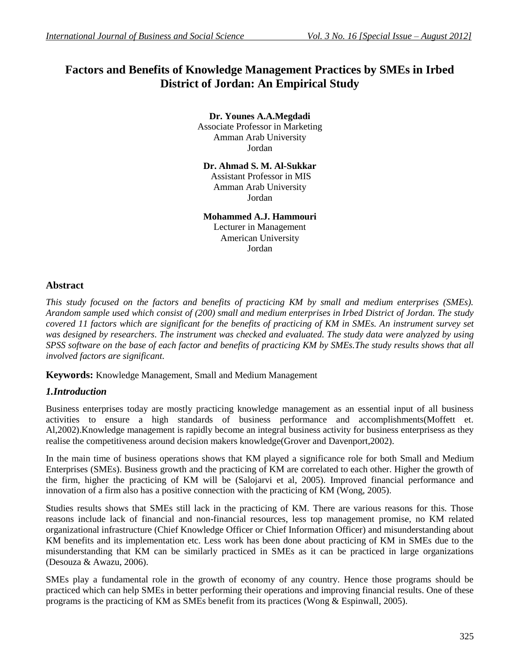# **Factors and Benefits of Knowledge Management Practices by SMEs in Irbed District of Jordan: An Empirical Study**

**Dr. Younes A.A.Megdadi** Associate Professor in Marketing Amman Arab University Jordan

**Dr. Ahmad S. M. Al-Sukkar** Assistant Professor in MIS Amman Arab University Jordan

**Mohammed A.J. Hammouri**

Lecturer in Management American University Jordan

## **Abstract**

*This study focused on the factors and benefits of practicing KM by small and medium enterprises (SMEs). Arandom sample used which consist of (200) small and medium enterprises in Irbed District of Jordan. The study covered 11 factors which are significant for the benefits of practicing of KM in SMEs. An instrument survey set was designed by researchers. The instrument was checked and evaluated. The study data were analyzed by using SPSS software on the base of each factor and benefits of practicing KM by SMEs.The study results shows that all involved factors are significant.*

**Keywords:** Knowledge Management, Small and Medium Management

## *1.Introduction*

Business enterprises today are mostly practicing knowledge management as an essential input of all business activities to ensure a high standards of business performance and accomplishments(Moffett et. Al,2002).Knowledge management is rapidly become an integral business activity for business enterprisess as they realise the competitiveness around decision makers knowledge(Grover and Davenport,2002).

In the main time of business operations shows that KM played a significance role for both Small and Medium Enterprises (SMEs). Business growth and the practicing of KM are correlated to each other. Higher the growth of the firm, higher the practicing of KM will be (Salojarvi et al, 2005). Improved financial performance and innovation of a firm also has a positive connection with the practicing of KM (Wong, 2005).

Studies results shows that SMEs still lack in the practicing of KM. There are various reasons for this. Those reasons include lack of financial and non-financial resources, less top management promise, no KM related organizational infrastructure (Chief Knowledge Officer or Chief Information Officer) and misunderstanding about KM benefits and its implementation etc. Less work has been done about practicing of KM in SMEs due to the misunderstanding that KM can be similarly practiced in SMEs as it can be practiced in large organizations (Desouza & Awazu, 2006).

SMEs play a fundamental role in the growth of economy of any country. Hence those programs should be practiced which can help SMEs in better performing their operations and improving financial results. One of these programs is the practicing of KM as SMEs benefit from its practices (Wong & Espinwall, 2005).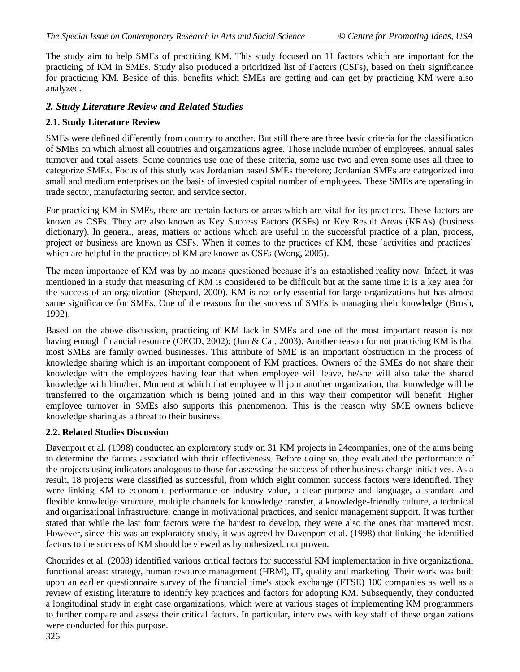The study aim to help SMEs of practicing KM. This study focused on 11 factors which are important for the practicing of KM in SMEs. Study also produced a prioritized list of Factors (CSFs), based on their significance for practicing KM. Beside of this, benefits which SMEs are getting and can get by practicing KM were also analyzed.

## *2. Study Literature Review and Related Studies*

## **2.1. Study Literature Review**

SMEs were defined differently from country to another. But still there are three basic criteria for the classification of SMEs on which almost all countries and organizations agree. Those include number of employees, annual sales turnover and total assets. Some countries use one of these criteria, some use two and even some uses all three to categorize SMEs. Focus of this study was Jordanian based SMEs therefore; Jordanian SMEs are categorized into small and medium enterprises on the basis of invested capital number of employees. These SMEs are operating in trade sector, manufacturing sector, and service sector.

For practicing KM in SMEs, there are certain factors or areas which are vital for its practices. These factors are known as CSFs. They are also known as Key Success Factors (KSFs) or Key Result Areas (KRAs) (business dictionary). In general, areas, matters or actions which are useful in the successful practice of a plan, process, project or business are known as CSFs. When it comes to the practices of KM, those 'activities and practices' which are helpful in the practices of KM are known as CSFs (Wong, 2005).

The mean importance of KM was by no means questioned because it's an established reality now. Infact, it was mentioned in a study that measuring of KM is considered to be difficult but at the same time it is a key area for the success of an organization (Shepard, 2000). KM is not only essential for large organizations but has almost same significance for SMEs. One of the reasons for the success of SMEs is managing their knowledge (Brush, 1992).

Based on the above discussion, practicing of KM lack in SMEs and one of the most important reason is not having enough financial resource (OECD, 2002); (Jun & Cai, 2003). Another reason for not practicing KM is that most SMEs are family owned businesses. This attribute of SME is an important obstruction in the process of knowledge sharing which is an important component of KM practices. Owners of the SMEs do not share their knowledge with the employees having fear that when employee will leave, he/she will also take the shared knowledge with him/her. Moment at which that employee will join another organization, that knowledge will be transferred to the organization which is being joined and in this way their competitor will benefit. Higher employee turnover in SMEs also supports this phenomenon. This is the reason why SME owners believe knowledge sharing as a threat to their business.

#### **2.2. Related Studies Discussion**

Davenport et al. (1998) conducted an exploratory study on 31 KM projects in 24companies, one of the aims being to determine the factors associated with their effectiveness. Before doing so, they evaluated the performance of the projects using indicators analogous to those for assessing the success of other business change initiatives. As a result, 18 projects were classified as successful, from which eight common success factors were identified. They were linking KM to economic performance or industry value, a clear purpose and language, a standard and flexible knowledge structure, multiple channels for knowledge transfer, a knowledge-friendly culture, a technical and organizational infrastructure, change in motivational practices, and senior management support. It was further stated that while the last four factors were the hardest to develop, they were also the ones that mattered most. However, since this was an exploratory study, it was agreed by Davenport et al. (1998) that linking the identified factors to the success of KM should be viewed as hypothesized, not proven.

Chourides et al. (2003) identified various critical factors for successful KM implementation in five organizational functional areas: strategy, human resource management (HRM), IT, quality and marketing. Their work was built upon an earlier questionnaire survey of the financial time's stock exchange (FTSE) 100 companies as well as a review of existing literature to identify key practices and factors for adopting KM. Subsequently, they conducted a longitudinal study in eight case organizations, which were at various stages of implementing KM programmers to further compare and assess their critical factors. In particular, interviews with key staff of these organizations were conducted for this purpose.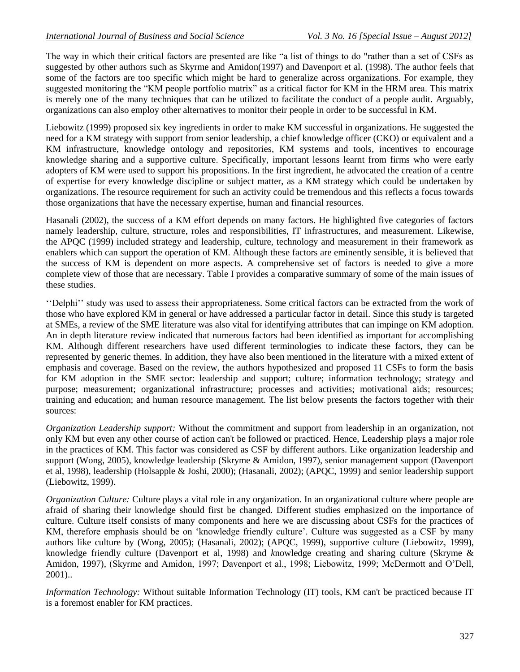The way in which their critical factors are presented are like "a list of things to do "rather than a set of CSFs as suggested by other authors such as Skyrme and Amidon(1997) and Davenport et al. (1998). The author feels that some of the factors are too specific which might be hard to generalize across organizations. For example, they suggested monitoring the "KM people portfolio matrix" as a critical factor for KM in the HRM area. This matrix is merely one of the many techniques that can be utilized to facilitate the conduct of a people audit. Arguably, organizations can also employ other alternatives to monitor their people in order to be successful in KM.

Liebowitz (1999) proposed six key ingredients in order to make KM successful in organizations. He suggested the need for a KM strategy with support from senior leadership, a chief knowledge officer (CKO) or equivalent and a KM infrastructure, knowledge ontology and repositories, KM systems and tools, incentives to encourage knowledge sharing and a supportive culture. Specifically, important lessons learnt from firms who were early adopters of KM were used to support his propositions. In the first ingredient, he advocated the creation of a centre of expertise for every knowledge discipline or subject matter, as a KM strategy which could be undertaken by organizations. The resource requirement for such an activity could be tremendous and this reflects a focus towards those organizations that have the necessary expertise, human and financial resources.

Hasanali (2002), the success of a KM effort depends on many factors. He highlighted five categories of factors namely leadership, culture, structure, roles and responsibilities, IT infrastructures, and measurement. Likewise, the APQC (1999) included strategy and leadership, culture, technology and measurement in their framework as enablers which can support the operation of KM. Although these factors are eminently sensible, it is believed that the success of KM is dependent on more aspects. A comprehensive set of factors is needed to give a more complete view of those that are necessary. Table I provides a comparative summary of some of the main issues of these studies.

''Delphi'' study was used to assess their appropriateness. Some critical factors can be extracted from the work of those who have explored KM in general or have addressed a particular factor in detail. Since this study is targeted at SMEs, a review of the SME literature was also vital for identifying attributes that can impinge on KM adoption. An in depth literature review indicated that numerous factors had been identified as important for accomplishing KM. Although different researchers have used different terminologies to indicate these factors, they can be represented by generic themes. In addition, they have also been mentioned in the literature with a mixed extent of emphasis and coverage. Based on the review, the authors hypothesized and proposed 11 CSFs to form the basis for KM adoption in the SME sector: leadership and support; culture; information technology; strategy and purpose; measurement; organizational infrastructure; processes and activities; motivational aids; resources; training and education; and human resource management. The list below presents the factors together with their sources:

*Organization Leadership support:* Without the commitment and support from leadership in an organization, not only KM but even any other course of action can't be followed or practiced. Hence, Leadership plays a major role in the practices of KM. This factor was considered as CSF by different authors. Like organization leadership and support (Wong, 2005), knowledge leadership (Skryme & Amidon, 1997), senior management support (Davenport et al, 1998), leadership (Holsapple & Joshi, 2000); (Hasanali, 2002); (APQC, 1999) and senior leadership support (Liebowitz, 1999).

*Organization Culture:* Culture plays a vital role in any organization. In an organizational culture where people are afraid of sharing their knowledge should first be changed. Different studies emphasized on the importance of culture. Culture itself consists of many components and here we are discussing about CSFs for the practices of KM, therefore emphasis should be on 'knowledge friendly culture'. Culture was suggested as a CSF by many authors like culture by (Wong, 2005); (Hasanali, 2002); (APQC, 1999), supportive culture (Liebowitz, 1999), knowledge friendly culture (Davenport et al, 1998) and *k*nowledge creating and sharing culture (Skryme & Amidon, 1997), (Skyrme and Amidon, 1997; Davenport et al., 1998; Liebowitz, 1999; McDermott and O'Dell, 2001)..

*Information Technology:* Without suitable Information Technology (IT) tools, KM can't be practiced because IT is a foremost enabler for KM practices.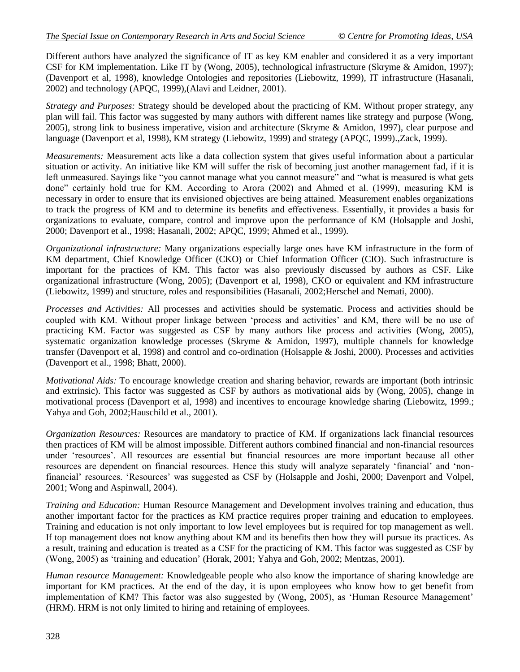Different authors have analyzed the significance of IT as key KM enabler and considered it as a very important CSF for KM implementation. Like IT by (Wong, 2005), technological infrastructure (Skryme & Amidon, 1997); (Davenport et al, 1998), knowledge Ontologies and repositories (Liebowitz, 1999), IT infrastructure (Hasanali, 2002) and technology (APQC, 1999),(Alavi and Leidner, 2001).

*Strategy and Purposes:* Strategy should be developed about the practicing of KM. Without proper strategy, any plan will fail. This factor was suggested by many authors with different names like strategy and purpose (Wong, 2005), strong link to business imperative, vision and architecture (Skryme & Amidon, 1997), clear purpose and language (Davenport et al, 1998), KM strategy (Liebowitz, 1999) and strategy (APOC, 1999).,Zack, 1999).

*Measurements:* Measurement acts like a data collection system that gives useful information about a particular situation or activity. An initiative like KM will suffer the risk of becoming just another management fad, if it is left unmeasured. Sayings like "you cannot manage what you cannot measure" and "what is measured is what gets done" certainly hold true for KM. According to Arora (2002) and Ahmed et al. (1999), measuring KM is necessary in order to ensure that its envisioned objectives are being attained. Measurement enables organizations to track the progress of KM and to determine its benefits and effectiveness. Essentially, it provides a basis for organizations to evaluate, compare, control and improve upon the performance of KM (Holsapple and Joshi, 2000; Davenport et al., 1998; Hasanali, 2002; APQC, 1999; Ahmed et al., 1999).

*Organizational infrastructure:* Many organizations especially large ones have KM infrastructure in the form of KM department, Chief Knowledge Officer (CKO) or Chief Information Officer (CIO). Such infrastructure is important for the practices of KM. This factor was also previously discussed by authors as CSF. Like organizational infrastructure (Wong, 2005); (Davenport et al, 1998), CKO or equivalent and KM infrastructure (Liebowitz, 1999) and structure, roles and responsibilities (Hasanali, 2002;Herschel and Nemati, 2000).

*Processes and Activities:* All processes and activities should be systematic. Process and activities should be coupled with KM. Without proper linkage between 'process and activities' and KM, there will be no use of practicing KM. Factor was suggested as CSF by many authors like process and activities (Wong, 2005), systematic organization knowledge processes (Skryme & Amidon, 1997), multiple channels for knowledge transfer (Davenport et al, 1998) and control and co-ordination (Holsapple & Joshi, 2000). Processes and activities (Davenport et al., 1998; Bhatt, 2000).

*Motivational Aids:* To encourage knowledge creation and sharing behavior, rewards are important (both intrinsic and extrinsic). This factor was suggested as CSF by authors as motivational aids by (Wong, 2005), change in motivational process (Davenport et al, 1998) and incentives to encourage knowledge sharing (Liebowitz, 1999.; Yahya and Goh, 2002;Hauschild et al., 2001).

*Organization Resources:* Resources are mandatory to practice of KM. If organizations lack financial resources then practices of KM will be almost impossible. Different authors combined financial and non-financial resources under 'resources'. All resources are essential but financial resources are more important because all other resources are dependent on financial resources. Hence this study will analyze separately 'financial' and 'nonfinancial' resources. 'Resources' was suggested as CSF by (Holsapple and Joshi, 2000; Davenport and Volpel, 2001; Wong and Aspinwall, 2004).

*Training and Education:* Human Resource Management and Development involves training and education, thus another important factor for the practices as KM practice requires proper training and education to employees. Training and education is not only important to low level employees but is required for top management as well. If top management does not know anything about KM and its benefits then how they will pursue its practices. As a result, training and education is treated as a CSF for the practicing of KM. This factor was suggested as CSF by (Wong, 2005) as 'training and education' (Horak, 2001; Yahya and Goh, 2002; Mentzas, 2001).

*Human resource Management:* Knowledgeable people who also know the importance of sharing knowledge are important for KM practices. At the end of the day, it is upon employees who know how to get benefit from implementation of KM? This factor was also suggested by (Wong, 2005), as 'Human Resource Management' (HRM). HRM is not only limited to hiring and retaining of employees.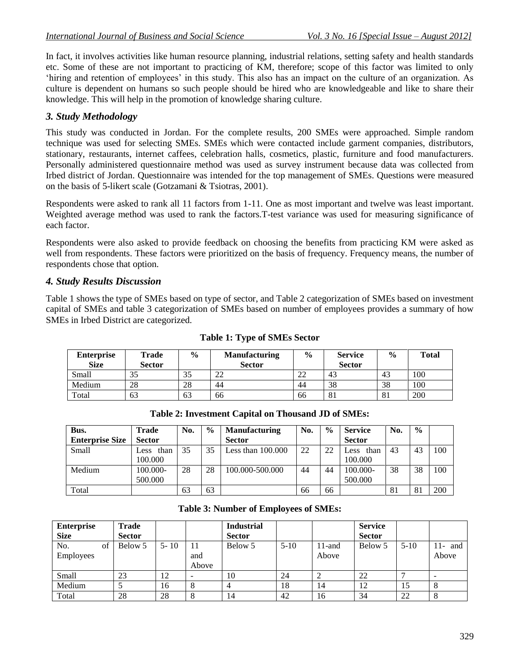In fact, it involves activities like human resource planning, industrial relations, setting safety and health standards etc. Some of these are not important to practicing of KM, therefore; scope of this factor was limited to only 'hiring and retention of employees' in this study. This also has an impact on the culture of an organization. As culture is dependent on humans so such people should be hired who are knowledgeable and like to share their knowledge. This will help in the promotion of knowledge sharing culture.

## *3. Study Methodology*

This study was conducted in Jordan. For the complete results, 200 SMEs were approached. Simple random technique was used for selecting SMEs. SMEs which were contacted include garment companies, distributors, stationary, restaurants, internet caffees, celebration halls, cosmetics, plastic, furniture and food manufacturers. Personally administered questionnaire method was used as survey instrument because data was collected from Irbed district of Jordan. Questionnaire was intended for the top management of SMEs. Questions were measured on the basis of 5-likert scale (Gotzamani & Tsiotras, 2001).

Respondents were asked to rank all 11 factors from 1-11. One as most important and twelve was least important. Weighted average method was used to rank the factors.T-test variance was used for measuring significance of each factor.

Respondents were also asked to provide feedback on choosing the benefits from practicing KM were asked as well from respondents. These factors were prioritized on the basis of frequency. Frequency means, the number of respondents chose that option.

## *4. Study Results Discussion*

Table 1 shows the type of SMEs based on type of sector, and Table 2 categorization of SMEs based on investment capital of SMEs and table 3 categorization of SMEs based on number of employees provides a summary of how SMEs in Irbed District are categorized.

| <b>Enterprise</b><br><b>Size</b> | Trade<br><b>Sector</b> | $\frac{0}{0}$ | <b>Manufacturing</b><br><b>Sector</b> | $\frac{6}{9}$ | <b>Service</b><br><b>Sector</b> | $\frac{6}{9}$ | <b>Total</b> |
|----------------------------------|------------------------|---------------|---------------------------------------|---------------|---------------------------------|---------------|--------------|
| Small                            | 35                     | 35            | າາ                                    | າາ            | 43                              | 43            | 100          |
| Medium                           | 28                     | 28            | 44                                    | 44            | 38                              | 38            | 100          |
| Total                            | 63                     | 63            | 66                                    | 66            | 81                              | 81            | 200          |

#### **Table 1: Type of SMEs Sector**

| Bus.                   | <b>Trade</b>        | No. | $\frac{0}{0}$ | <b>Manufacturing</b> | No. | $\frac{0}{0}$ | <b>Service</b> | No. | $\frac{6}{6}$ |     |
|------------------------|---------------------|-----|---------------|----------------------|-----|---------------|----------------|-----|---------------|-----|
| <b>Enterprise Size</b> | <b>Sector</b>       |     |               | <b>Sector</b>        |     |               | <b>Sector</b>  |     |               |     |
| Small                  | than<br><b>Less</b> | 35  | 35            | Less than $100.000$  | 22  | 22            | than<br>ess    | 43  | 43            | 100 |
|                        | 100.000             |     |               |                      |     |               | 100.000        |     |               |     |
| Medium                 | 100.000-            | 28  | 28            | 100.000-500.000      | 44  | 44            | $100.000 -$    | 38  | 38            | 100 |
|                        | 500.000             |     |               |                      |     |               | 500,000        |     |               |     |
| Total                  |                     | 63  | 63            |                      | 66  | 66            |                | 81  | 81            | 200 |

| <b>Enterprise</b><br><b>Size</b> | <b>Trade</b><br><b>Sector</b> |          |                    | <b>Industrial</b><br><b>Sector</b> |          |                    | <b>Service</b><br><b>Sector</b> |          |                    |
|----------------------------------|-------------------------------|----------|--------------------|------------------------------------|----------|--------------------|---------------------------------|----------|--------------------|
| No.<br>of<br>Employees           | Below 5                       | $5 - 10$ | 11<br>and<br>Above | Below 5                            | $5 - 10$ | $11$ -and<br>Above | Below 5                         | $5 - 10$ | $11-$ and<br>Above |
| Small                            | 23                            | 12       |                    | 10                                 | 24       |                    | 22                              |          |                    |
| Medium                           |                               | 16       |                    | 4                                  | 18       | 14                 | 12                              | 15       |                    |
| Total                            | 28                            | 28       | ◠                  | 14                                 | 42       | 16                 | 34                              | 22       | Ō                  |

**Table 3: Number of Employees of SMEs:**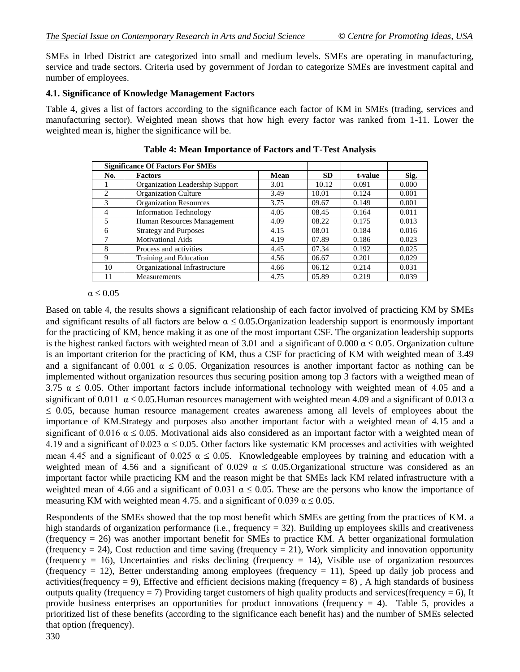SMEs in Irbed District are categorized into small and medium levels. SMEs are operating in manufacturing, service and trade sectors. Criteria used by government of Jordan to categorize SMEs are investment capital and number of employees.

### **4.1. Significance of Knowledge Management Factors**

Table 4, gives a list of factors according to the significance each factor of KM in SMEs (trading, services and manufacturing sector). Weighted mean shows that how high every factor was ranked from 1-11. Lower the weighted mean is, higher the significance will be.

|     | <b>Significance Of Factors For SMEs</b> |             |           |         |       |
|-----|-----------------------------------------|-------------|-----------|---------|-------|
| No. | <b>Factors</b>                          | <b>Mean</b> | <b>SD</b> | t-value | Sig.  |
|     | Organization Leadership Support         | 3.01        | 10.12     | 0.091   | 0.000 |
| 2   | Organization Culture                    | 3.49        | 10.01     | 0.124   | 0.001 |
| 3   | <b>Organization Resources</b>           | 3.75        | 09.67     | 0.149   | 0.001 |
| 4   | <b>Information Technology</b>           | 4.05        | 08.45     | 0.164   | 0.011 |
| 5   | Human Resources Management              | 4.09        | 08.22     | 0.175   | 0.013 |
| 6   | <b>Strategy and Purposes</b>            | 4.15        | 08.01     | 0.184   | 0.016 |
|     | <b>Motivational Aids</b>                | 4.19        | 07.89     | 0.186   | 0.023 |
| 8   | Process and activities                  | 4.45        | 07.34     | 0.192   | 0.025 |
| 9   | Training and Education                  | 4.56        | 06.67     | 0.201   | 0.029 |
| 10  | Organizational Infrastructure           | 4.66        | 06.12     | 0.214   | 0.031 |
| 11  | Measurements                            | 4.75        | 05.89     | 0.219   | 0.039 |

**Table 4: Mean Importance of Factors and T-Test Analysis**

#### $\alpha \leq 0.05$

Based on table 4, the results shows a significant relationship of each factor involved of practicing KM by SMEs and significant results of all factors are below  $\alpha \leq 0.05$ . Organization leadership support is enormously important for the practicing of KM, hence making it as one of the most important CSF. The organization leadership supports is the highest ranked factors with weighted mean of 3.01 and a significant of 0.000  $\alpha \le 0.05$ . Organization culture is an important criterion for the practicing of KM, thus a CSF for practicing of KM with weighted mean of 3.49 and a signifancant of 0.001  $\alpha \le 0.05$ . Organization resources is another important factor as nothing can be implemented without organization resources thus securing position among top 3 factors with a weigthed mean of 3.75  $\alpha \le 0.05$ . Other important factors include informational technology with weighted mean of 4.05 and a significant of 0.011  $\alpha \le 0.05$ . Human resources management with weighted mean 4.09 and a significant of 0.013  $\alpha$  $\leq$  0.05, because human resource management creates awareness among all levels of employees about the importance of KM.Strategy and purposes also another important factor with a weighted mean of 4.15 and a significant of 0.016  $\alpha \le 0.05$ . Motivational aids also considered as an important factor with a weighted mean of 4.19 and a significant of 0.023  $\alpha \le 0.05$ . Other factors like systematic KM processes and activities with weighted mean 4.45 and a significant of 0.025  $\alpha \le 0.05$ . Knowledgeable employees by training and education with a weighted mean of 4.56 and a significant of 0.029  $\alpha \le 0.05$ .Organizational structure was considered as an important factor while practicing KM and the reason might be that SMEs lack KM related infrastructure with a weighted mean of 4.66 and a significant of 0.031  $\alpha \le 0.05$ . These are the persons who know the importance of measuring KM with weighted mean 4.75. and a significant of 0.039  $\alpha \le 0.05$ .

Respondents of the SMEs showed that the top most benefit which SMEs are getting from the practices of KM. a high standards of organization performance (i.e., frequency = 32). Building up employees skills and creativeness (frequency = 26) was another important benefit for SMEs to practice KM. A better organizational formulation (frequency  $= 24$ ), Cost reduction and time saving (frequency  $= 21$ ), Work simplicity and innovation opportunity (frequency = 16), Uncertainties and risks declining (frequency = 14), Visible use of organization resources (frequency  $= 12$ ), Better understanding among employees (frequency  $= 11$ ), Speed up daily job process and activities(frequency = 9), Effective and efficient decisions making (frequency = 8), A high standards of business outputs quality (frequency  $= 7$ ) Providing target customers of high quality products and services(frequency  $= 6$ ), It provide business enterprises an opportunities for product innovations (frequency  $= 4$ ). Table 5, provides a prioritized list of these benefits (according to the significance each benefit has) and the number of SMEs selected that option (frequency).